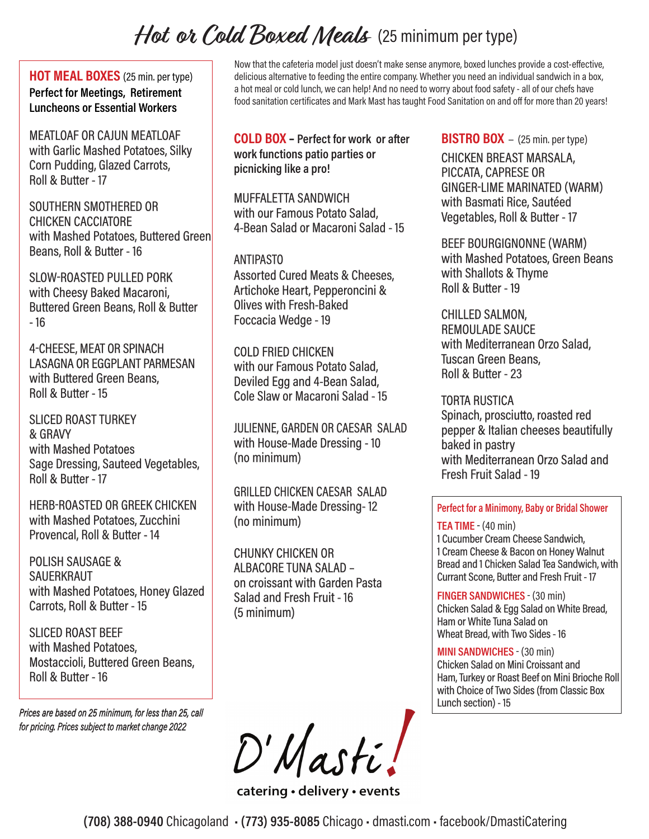# Hot or Cold Boxed Meals (25 minimum per type)

**HOT MEAL BOXES** (25 min. per type) **Perfect for Meetings, Retirement Luncheons or Essential Workers**

MEATLOAF OR CAJUN MEATLOAF with Garlic Mashed Potatoes, Silky Corn Pudding, Glazed Carrots, Roll & Butter - 17

SOUTHERN SMOTHERED OR CHICKEN CACCIATORE with Mashed Potatoes, Buttered Green Beans, Roll & Butter - 16

SLOW-ROASTED PULLED PORK with Cheesy Baked Macaroni, Buttered Green Beans, Roll & Butter - 16

4-CHEESE, MEAT OR SPINACH LASAGNA OR EGGPLANT PARMESAN with Buttered Green Beans, Roll & Butter - 15

SLICED ROAST TURKEY & GRAVY with Mashed Potatoes Sage Dressing, Sauteed Vegetables, Roll & Butter - 17

HERB-ROASTED OR GREEK CHICKEN with Mashed Potatoes, Zucchini Provencal, Roll & Butter - 14

POLISH SAUSAGE & **SAUERKRAUT** with Mashed Potatoes, Honey Glazed Carrots, Roll & Butter - 15

SLICED ROAST BEEF with Mashed Potatoes, Mostaccioli, Buttered Green Beans, Roll & Butter - 16

*Prices are based on 25 minimum, for less than 25, call for pricing. Prices subject to market change 2022*

Now that the cafeteria model just doesn't make sense anymore, boxed lunches provide a cost-effective, delicious alternative to feeding the entire company. Whether you need an individual sandwich in a box, a hot meal or cold lunch, we can help! And no need to worry about food safety - all of our chefs have food sanitation certificates and Mark Mast has taught Food Sanitation on and off for more than 20 years!

**COLD BOX – Perfect for work or after work functions patio parties or picnicking like a pro!**

MUFFALETTA SANDWICH with our Famous Potato Salad, 4-Bean Salad or Macaroni Salad - 15

# ANTIPASTO

Assorted Cured Meats & Cheeses, Artichoke Heart, Pepperoncini & Olives with Fresh-Baked Foccacia Wedge - 19

COLD FRIED CHICKEN with our Famous Potato Salad, Deviled Egg and 4-Bean Salad, Cole Slaw or Macaroni Salad - 15

JULIENNE, GARDEN OR CAESAR SALAD with House-Made Dressing - 10 (no minimum)

GRILLED CHICKEN CAESAR SALAD with House-Made Dressing- 12 (no minimum)

CHUNKY CHICKEN OR ALBACORE TUNA SALAD – on croissant with Garden Pasta Salad and Fresh Fruit - 16 (5 minimum)

**BISTRO BOX** – (25 min. per type)

CHICKEN BREAST MARSALA, PICCATA, CAPRESE OR GINGER-LIME MARINATED (WARM) with Basmati Rice, Sautéed Vegetables, Roll & Butter - 17

BEEF BOURGIGNONNE (WARM) with Mashed Potatoes, Green Beans with Shallots & Thyme Roll & Butter - 19

CHILLED SALMON, REMOULADE SAUCE with Mediterranean Orzo Salad, Tuscan Green Beans, Roll & Butter - 23

TORTA RUSTICA Spinach, prosciutto, roasted red pepper & Italian cheeses beautifully baked in pastry with Mediterranean Orzo Salad and Fresh Fruit Salad - 19

**Perfect for a Minimony, Baby or Bridal Shower**

# **TEA TIME** - (40 min)

1 Cucumber Cream Cheese Sandwich, 1 Cream Cheese & Bacon on Honey Walnut Bread and 1 Chicken Salad Tea Sandwich, with Currant Scone, Butter and Fresh Fruit - 17

**FINGER SANDWICHES** - (30 min)

Chicken Salad & Egg Salad on White Bread, Ham or White Tuna Salad on Wheat Bread, with Two Sides - 16

# **MINI SANDWICHES** - (30 min)

Chicken Salad on Mini Croissant and Ham, Turkey or Roast Beef on Mini Brioche Roll with Choice of Two Sides (from Classic Box Lunch section) - 15

D'Masti!

catering • delivery • events